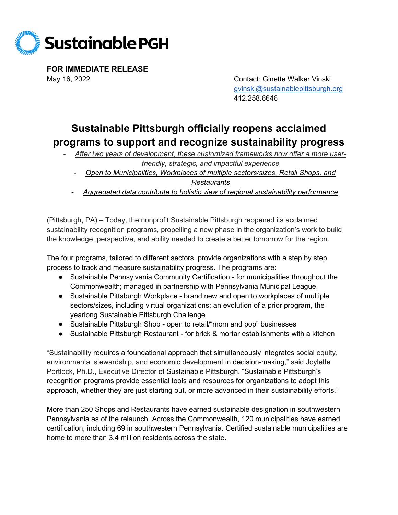

**FOR IMMEDIATE RELEASE** May 16, 2022Contact: Ginette Walker Vinski

[gvinski@sustainablepittsburgh.org](mailto:gvinski@sustainablepittsburgh.org) 412.258.6646

## **Sustainable Pittsburgh officially reopens acclaimed programs to support and recognize sustainability progress**

- After two years of development, these customized frameworks now offer a more user*friendly, strategic, and impactful experience*
	- *Open to Municipalities, Workplaces of multiple sectors/sizes, Retail Shops, and Restaurants*
	- *Aggregated data contribute to holistic view of regional sustainability performance*

(Pittsburgh, PA) – Today, the nonprofit Sustainable Pittsburgh reopened its acclaimed sustainability recognition programs, propelling a new phase in the organization's work to build the knowledge, perspective, and ability needed to create a better tomorrow for the region.

The four programs, tailored to different sectors, provide organizations with a step by step process to track and measure sustainability progress. The programs are:

- Sustainable Pennsylvania Community Certification for municipalities throughout the Commonwealth; managed in partnership with Pennsylvania Municipal League.
- Sustainable Pittsburgh Workplace brand new and open to workplaces of multiple sectors/sizes, including virtual organizations; an evolution of a prior program, the yearlong Sustainable Pittsburgh Challenge
- Sustainable Pittsburgh Shop open to retail/"mom and pop" businesses
- Sustainable Pittsburgh Restaurant for brick & mortar establishments with a kitchen

"Sustainability requires a foundational approach that simultaneously integrates social equity, environmental stewardship, and economic development in decision-making," said Joylette Portlock, Ph.D., Executive Director of Sustainable Pittsburgh. "Sustainable Pittsburgh's recognition programs provide essential tools and resources for organizations to adopt this approach, whether they are just starting out, or more advanced in their sustainability efforts."

More than 250 Shops and Restaurants have earned sustainable designation in southwestern Pennsylvania as of the relaunch. Across the Commonwealth, 120 municipalities have earned certification, including 69 in southwestern Pennsylvania. Certified sustainable municipalities are home to more than 3.4 million residents across the state.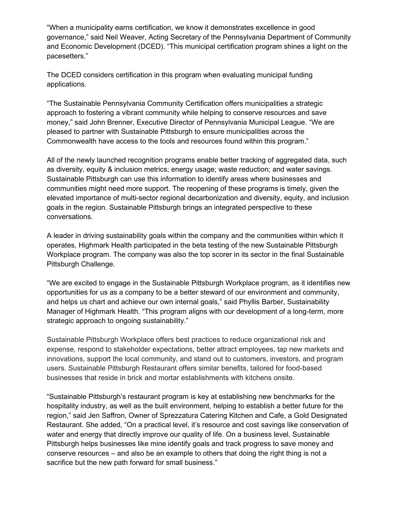"When a municipality earns certification, we know it demonstrates excellence in good governance," said Neil Weaver, Acting Secretary of the Pennsylvania Department of Community and Economic Development (DCED). "This municipal certification program shines a light on the pacesetters."

The DCED considers certification in this program when evaluating municipal funding applications.

"The Sustainable Pennsylvania Community Certification offers municipalities a strategic approach to fostering a vibrant community while helping to conserve resources and save money," said John Brenner, Executive Director of Pennsylvania Municipal League. "We are pleased to partner with Sustainable Pittsburgh to ensure municipalities across the Commonwealth have access to the tools and resources found within this program."

All of the newly launched recognition programs enable better tracking of aggregated data, such as diversity, equity & inclusion metrics; energy usage; waste reduction; and water savings. Sustainable Pittsburgh can use this information to identify areas where businesses and communities might need more support. The reopening of these programs is timely, given the elevated importance of multi-sector regional decarbonization and diversity, equity, and inclusion goals in the region. Sustainable Pittsburgh brings an integrated perspective to these conversations.

A leader in driving sustainability goals within the company and the communities within which it operates, Highmark Health participated in the beta testing of the new Sustainable Pittsburgh Workplace program. The company was also the top scorer in its sector in the final Sustainable Pittsburgh Challenge.

"We are excited to engage in the Sustainable Pittsburgh Workplace program, as it identifies new opportunities for us as a company to be a better steward of our environment and community, and helps us chart and achieve our own internal goals," said Phyllis Barber, Sustainability Manager of Highmark Health. "This program aligns with our development of a long-term, more strategic approach to ongoing sustainability."

Sustainable Pittsburgh Workplace offers best practices to reduce organizational risk and expense, respond to stakeholder expectations, better attract employees, tap new markets and innovations, support the local community, and stand out to customers, investors, and program users. Sustainable Pittsburgh Restaurant offers similar benefits, tailored for food-based businesses that reside in brick and mortar establishments with kitchens onsite.

"Sustainable Pittsburgh's restaurant program is key at establishing new benchmarks for the hospitality industry, as well as the built environment, helping to establish a better future for the region," said Jen Saffron, Owner of Sprezzatura Catering Kitchen and Cafe, a Gold Designated Restaurant. She added, "On a practical level, it's resource and cost savings like conservation of water and energy that directly improve our quality of life. On a business level, Sustainable Pittsburgh helps businesses like mine identify goals and track progress to save money and conserve resources – and also be an example to others that doing the right thing is not a sacrifice but the new path forward for small business."